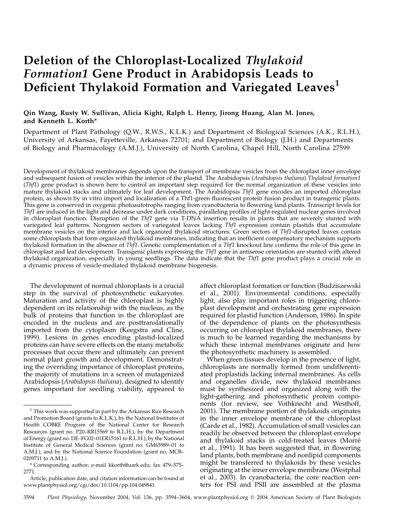# Deletion of the Chloroplast-Localized Thylakoid Formation1 Gene Product in Arabidopsis Leads to Deficient Thylakoid Formation and Variegated Leaves<sup>1</sup>

## Qin Wang, Rusty W. Sullivan, Alicia Kight, Ralph L. Henry, Jirong Huang, Alan M. Jones, and Kenneth L. Korth\*

Department of Plant Pathology (Q.W., R.W.S., K.L.K.) and Department of Biological Sciences (A.K., R.L.H.), University of Arkansas, Fayetteville, Arkansas 72701; and Department of Biology (J.H.) and Departments of Biology and Pharmacology (A.M.J.), University of North Carolina, Chapel Hill, North Carolina 27599

Development of thylakoid membranes depends upon the transport of membrane vesicles from the chloroplast inner envelope and subsequent fusion of vesicles within the interior of the plastid. The Arabidopsis (Arabidopsis thaliana) Thylakoid formation1 (Thf1) gene product is shown here to control an important step required for the normal organization of these vesicles into mature thylakoid stacks and ultimately for leaf development. The Arabidopsis Thf1 gene encodes an imported chloroplast protein, as shown by in vitro import and localization of a Thf1-green fluorescent protein fusion product in transgenic plants. This gene is conserved in oxygenic photoautotrophs ranging from cyanobacteria to flowering land plants. Transcript levels for Thf1 are induced in the light and decrease under dark conditions, paralleling profiles of light-regulated nuclear genes involved in chloroplast function. Disruption of the Thf1 gene via T-DNA insertion results in plants that are severely stunted with variegated leaf patterns. Nongreen sectors of variegated leaves lacking Thf1 expression contain plastids that accumulate membrane vesicles on the interior and lack organized thylakoid structures. Green sectors of Thf1-disrupted leaves contain some chloroplasts that form organized thylakoid membranes, indicating that an inefficient compensatory mechanism supports thylakoid formation in the absence of Thf1. Genetic complementation of a Thf1 knockout line confirms the role of this gene in chloroplast and leaf development. Transgenic plants expressing the Thf1 gene in antisense orientation are stunted with altered thylakoid organization, especially in young seedlings. The data indicate that the Thf1 gene product plays a crucial role in a dynamic process of vesicle-mediated thylakoid membrane biogenesis.

The development of normal chloroplasts is a crucial step in the survival of photosynthetic eukaryotes. Maturation and activity of the chloroplast is highly dependent on its relationship with the nucleus, as the bulk of proteins that function in the chloroplast are encoded in the nucleus and are posttranslationally imported from the cytoplasm (Keegstra and Cline, 1999). Lesions in genes encoding plastid-localized proteins can have severe effects on the many metabolic processes that occur there and ultimately can prevent normal plant growth and development. Demonstrating the overriding importance of chloroplast proteins, the majority of mutations in a screen of mutagenized Arabidopsis (Arabidopsis thaliana), designed to identify genes important for seedling viability, appeared to

affect chloroplast formation or function (Budziszewski et al., 2001). Environmental conditions, especially light, also play important roles in triggering chloroplast development and orchestrating gene expression required for plastid function (Anderson, 1986). In spite of the dependence of plants on the photosynthesis occurring on chloroplast thylakoid membranes, there is much to be learned regarding the mechanisms by which these internal membranes originate and how the photosynthetic machinery is assembled.

When green tissues develop in the presence of light, chloroplasts are normally formed from undifferentiated proplastids lacking internal membranes. As cells and organelles divide, new thylakoid membranes must be synthesized and organized along with the light-gathering and photosynthetic protein components (for review, see Vothknecht and Westhoff, 2001). The membrane portion of thylakoids originates in the inner envelope membrane of the chloroplast (Carde et al., 1982). Accumulation of small vesicles can readily be observed between the chloroplast envelope and thylakoid stacks in cold-treated leaves (Morre´ et al., 1991). It has been suggested that, in flowering land plants, both membrane and nonlipid components might be transferred to thylakoids by these vesicles originating at the inner envelope membrane (Westphal et al., 2003). In cyanobacteria, the core reaction centers for PSI and PSII are assembled at the plasma

 $1$  This work was supported in part by the Arkansas Rice Research and Promotion Board (grants to K.L.K.), by the National Institutes of Health COBRE Program of the National Center for Research Resources (grant no. P20–RR15569 to R.L.H.), by the Department of Energy (grant no. DE–FG02–01ER15161 to R.L.H.), by the National Institute of General Medical Sciences (grant no. GM65989–01 to A.M.J.), and by the National Science Foundation (grant no. MCB– 0209711 to A.M.J.).

<sup>\*</sup> Corresponding author; e-mail kkorth@uark.edu; fax 479–575– 2771.

Article, publication date, and citation information can be found at www.plantphysiol.org/cgi/doi/10.1104/pp.104.049841.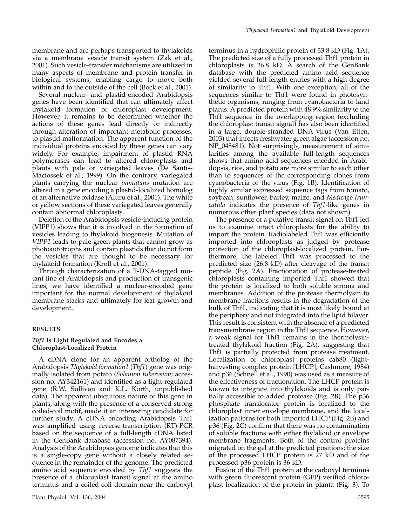membrane and are perhaps transported to thylakoids via a membrane vesicle transit system (Zak et al., 2001). Such vesicle-transfer mechanisms are utilized in many aspects of membrane and protein transfer in biological systems, enabling cargo to move both within and to the outside of the cell (Bock et al., 2001).

Several nuclear- and plastid-encoded Arabidopsis genes have been identified that can ultimately affect thylakoid formation or chloroplast development. However, it remains to be determined whether the actions of these genes lead directly or indirectly through alteration of important metabolic processes, to plastid malformation. The apparent function of the individual proteins encoded by these genes can vary widely. For example, impairment of plastid RNA polymerases can lead to altered chloroplasts and plants with pale or variegated leaves (De Santis-Maciossek et al., 1999). On the contrary, variegated plants carrying the nuclear immutans mutation are altered in a gene encoding a plastid-localized homolog of an alternative oxidase (Aluru et al., 2001). The white or yellow sections of these variegated leaves generally contain abnormal chloroplasts.

Deletion of the Arabidopsis vesicle-inducing protein (VIPP1) shows that it is involved in the formation of vesicles leading to thylakoid biogenesis. Mutation of VIPP1 leads to pale-green plants that cannot grow as photoautotrophs and contain plastids that do not form the vesicles that are thought to be necessary for thylakoid formation (Kroll et al., 2001).

Through characterization of a T-DNA-tagged mutant line of Arabidopsis and production of transgenic lines, we have identified a nuclear-encoded gene important for the normal development of thylakoid membrane stacks and ultimately for leaf growth and development.

## RESULTS

## Thf1 Is Light Regulated and Encodes a Chloroplast-Localized Protein

A cDNA clone for an apparent ortholog of the Arabidopsis Thylakoid formation1 (Thf1) gene was originally isolated from potato (Solanum tuberosum; accession no. AY342161) and identified as a light-regulated gene (R.W. Sullivan and K.L. Korth, unpublished data). The apparent ubiquitous nature of this gene in plants, along with the presence of a conserved strong coiled-coil motif, made it an interesting candidate for further study. A cDNA encoding Arabidopsis Thf1 was amplified using reverse-transcription (RT)-PCR based on the sequence of a full-length cDNA listed in the GenBank database (accession no. AY087394). Analysis of the Arabidopsis genome indicates that this is a single-copy gene without a closely related sequence in the remainder of the genome. The predicted amino acid sequence encoded by Thf1 suggests the presence of a chloroplast transit signal at the amino terminus and a coiled-coil domain near the carboxyl

terminus in a hydrophilic protein of 33.8 kD (Fig. 1A). The predicted size of a fully processed Thf1 protein in chloroplasts is 26.8 kD. A search of the GenBank database with the predicted amino acid sequence yielded several full-length entries with a high degree of similarity to Thf1. With one exception, all of the sequences similar to Thf1 were found in photosynthetic organisms, ranging from cyanobacteria to land plants. A predicted protein with 48.9% similarity to the Thf1 sequence in the overlapping region (excluding the chloroplast transit signal) has also been identified in a large, double-stranded DNA virus (Van Etten, 2003) that infects freshwater green algae (accession no. NP\_048481). Not surprisingly, measurement of similarities among the available full-length sequences shows that amino acid sequences encoded in Arabidopsis, rice, and potato are more similar to each other than to sequences of the corresponding clones from cyanobacteria or the virus (Fig. 1B). Identification of highly similar expressed sequence tags from tomato, soybean, sunflower, barley, maize, and Medicago truncatula indicates the presence of Thf1-like genes in numerous other plant species (data not shown).

The presence of a putative transit signal on Thf1 led us to examine intact chloroplasts for the ability to import the protein. Radiolabeled Thf1 was efficiently imported into chloroplasts as judged by protease protection of the chloroplast-localized protein. Furthermore, the labeled Thf1 was processed to the predicted size (26.8 kD) after cleavage of the transit peptide (Fig. 2A). Fractionation of protease-treated chloroplasts containing imported Thf1 showed that the protein is localized to both soluble stroma and membranes. Addition of the protease thermolysin to membrane fractions results in the degradation of the bulk of Thf1, indicating that it is most likely bound at the periphery and not integrated into the lipid bilayer. This result is consistent with the absence of a predicted transmembrane region in the Thf1 sequence. However, a weak signal for Thf1 remains in the thermolysintreated thylakoid fraction (Fig. 2A), suggesting that Thf1 is partially protected from protease treatment. Localization of chloroplast proteins cab80 (lightharvesting complex protein [LHCP]; Cashmore, 1984) and p36 (Schnell et al., 1990) was used as a measure of the effectiveness of fractionation. The LHCP protein is known to integrate into thylakoids and is only partially accessible to added protease (Fig. 2B). The p36 phosphate translocator protein is localized to the chloroplast inner envelope membrane, and the localization patterns for both imported LHCP (Fig. 2B) and p36 (Fig. 2C) confirm that there was no contamination of soluble fractions with either thylakoid or envelope membrane fragments. Both of the control proteins migrated on the gel at the predicted positions; the size of the processed LHCP protein is 27 kD and of the processed p36 protein is 36 kD.

Fusion of the Thf1 protein at the carboxyl terminus with green fluorescent protein (GFP) verified chloroplast localization of the protein in planta (Fig. 3). To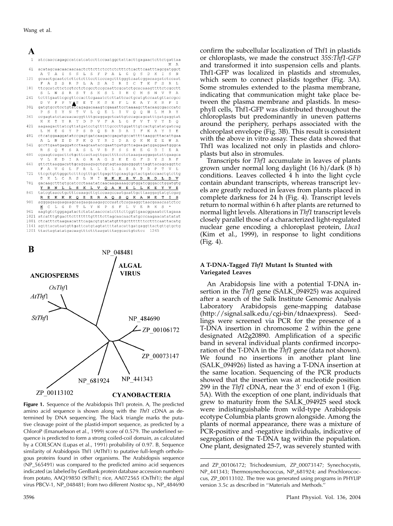| A            |                                                                                    |
|--------------|------------------------------------------------------------------------------------|
| $\mathbf{1}$ | atccaaccagagccatcatcatccttccaatggctattacttgagaactcttctgattaa                       |
|              | M A                                                                                |
| 61           | acatagcaacaacaacaactcttcttctcctcttttctcacttcaatttagcgatggct                        |
|              | S S L S F P A L G O S D K I S N<br>T A<br>$\mathbf I$<br>А                         |
| 121          | gcaactgcaatctcttctctttccttcccagctttgggtcaatcggacaagatctccaat                       |
|              | A S S R P L A S A I R I C T K F S R L<br>F                                         |
| 181          | ttcgcatcttctcgtcctctcgcctccgcaattcgcatctgcacaaagttttctcgcctt                       |
|              | T S K S L I H C M<br>R<br>S<br>S N V<br>N.<br>$S -$<br>T A<br>S.<br>T <sub>1</sub> |
| 241          | tctttgaattcgcgttccacttcgaaatctcttattcactgcatgtccaatgttaccgcc                       |
|              | D V P P VAS E T K S K F L K A Y K R<br>P I                                         |
| 301          | gatgtgcctcctgtatcagagacaaagtcgaaattcctaaaagcttacaagcgacccatc                       |
|              | TVLOELIVOOHLM<br>SIYN<br>P<br>R Y                                                  |
| 361          | ccgagtatctacaacacgqttttgcagqagctcattgtccagcagcatttgatgaggtat                       |
|              | TYRYD PV FALGFV<br>T V Y D O<br>K K                                                |
| 421          | aagaagacttatcgttatgatcctgtttttgcccttggatttgtcactgtatatgatcag                       |
|              | L M E G Y P S D O D R D A I F K A Y I<br>E                                         |
| 481          | ctcatggaaggatatccgagtgatcaagaccgagatgccatttttaaggcttacattgaa                       |
|              | D P K O Y R I D A O K M E E<br>A L N E<br>W<br>- A                                 |
| 541          | gccttgaatgaggatcctaagcaataccgaattgatgctcagaagatggaggaatgggca                       |
|              | S O T S A S L V D F S S K E G D I E<br>R.<br><b>A</b>                              |
| 601          | cqaaqtcaqacttctqcttcactaqttqacttttcctctaaaqaaqqaqatattqaaqca                       |
|              | V L K D I A G R A G S K E G F S Y S R F                                            |
| 661          | gttcttaaggacattgcaggaagagctggtagtaaggaggggtttagttacagcaggttc                       |
|              | A V G L F R L L E L A S A T D P T V L                                              |
| 721          | ttcgctgttgggctctttcgtttgcttgagcttgcaagtgctactgatccaactgtcttg                       |
|              | K L C A S L N I N K K S V D R D<br>L.<br>D<br>D                                    |
| 781          | gacaagctttgtgcatccctaaatatcaacaagaaaagcgtggatcgggacctggatgtg                       |
|              | Y R N L L S K L V Q A N E L L K E Y V E                                            |
| 841          | tategtaacetgettteaaagettgteeaageeaatgaattgettaaggagtatgtegag                       |
|              | E K K K Q E E R A Q S Q K A N E<br>T.<br>I S<br>R                                  |
| 901          | agggagaagaagaagcaagaagaagagcccaatctcagaaggctaacgaaacaatctcc                        |
|              | K C L G D T L Y N P S F L V E R K S *                                              |
| 961          | aagtgtctgggagatactctatataacccatctttcttggttgaacggaaatcttagaaa                       |
| 1021         |                                                                                    |
|              | 1081 ctcatttctaagaacatttcagacgtgtatatgtttgctttttttcctttcaattacatg                  |

1141 agtttacataatgttgattcatgtagtattttatacattgatgaggttactgttgtgctg

1201 ttactagtatatgacaagtttctttaagatttaggcactgtctcc 1245



Figure 1. Sequence of the Arabidopsis Thf1 protein. A, The predicted amino acid sequence is shown along with the Thf1 cDNA as determined by DNA sequencing. The black triangle marks the putative cleavage point of the plastid-import sequence, as predicted by a ChloroP (Emanuelsson et al., 1999) score of 0.579. The underlined sequence is predicted to form a strong coiled-coil domain, as calculated by a COILSCAN (Lupas et al., 1991) probability of 0.97. B, Sequence similarity of Arabidopsis Thf1 (AtThf1) to putative full-length orthologous proteins found in other organisms. The Arabidopsis sequence (NP\_565491) was compared to the predicted amino acid sequences indicated (as labeled by GenBank protein database accession numbers) from potato, AAQ19850 (StThf1); rice, AA072565 (OsThf1); the algal virus PBCV-1, NP\_048481; from two different Nostoc sp., NP\_484690

confirm the subcellular localization of Thf1 in plastids or chloroplasts, we made the construct 35S:Thf1-GFP and transformed it into suspension cells and plants. Thf1-GFP was localized in plastids and stromules, which seem to connect plastids together (Fig. 3A). Some stromules extended to the plasma membrane, indicating that communication might take place between the plasma membrane and plastids. In mesophyll cells, Thf1-GFP was distributed throughout the chloroplasts but predominantly in uneven patterns around the periphery, perhaps associated with the chloroplast envelope (Fig. 3B). This result is consistent with the above in vitro assay. These data showed that Thf1 was localized not only in plastids and chloroplasts but also in stromules.

Transcripts for Thf1 accumulate in leaves of plants grown under normal long daylight (16 h)/dark (8 h) conditions. Leaves collected 4 h into the light cycle contain abundant transcripts, whereas transcript levels are greatly reduced in leaves from plants placed in complete darkness for 24 h (Fig. 4). Transcript levels return to normal within 6 h after plants are returned to normal light levels. Alterations in Thf1 transcript levels closely parallel those of a characterized light-regulated nuclear gene encoding a chloroplast protein, *Lhca1* (Kim et al., 1999), in response to light conditions (Fig. 4).

## A T-DNA-Tagged Thf1 Mutant Is Stunted with Variegated Leaves

An Arabidopsis line with a potential T-DNA insertion in the  $\bar{T}hf1$  gene (SALK\_094925) was acquired after a search of the Salk Institute Genomic Analysis Laboratory Arabidopsis gene-mapping database (http://signal.salk.edu/cgi-bin/tdnaexpress). Seedlings were screened via PCR for the presence of a T-DNA insertion in chromosome 2 within the gene designated At2g20890. Amplification of a specific band in several individual plants confirmed incorporation of the T-DNA in the  $T h f1$  gene (data not shown). We found no insertions in another plant line (SALK\_094926) listed as having a T-DNA insertion at the same location. Sequencing of the PCR products showed that the insertion was at nucleotide position 299 in the  $Thf1$  cDNA, near the 3' end of exon 1 (Fig. 5A). With the exception of one plant, individuals that grew to maturity from the SALK\_094925 seed stock were indistinguishable from wild-type Arabidopsis ecotype Columbia plants grown alongside. Among the plants of normal appearance, there was a mixture of PCR-positive and -negative individuals, indicative of segregation of the T-DNA tag within the population. One plant, designated 25-7, was severely stunted with

and ZP\_00106172; Trichodesmium, ZP\_00073147; Synechocystis, NP\_441343; Thermosynechococcus, NP\_681924; and Prochlorococcus, ZP\_00113102. The tree was generated using programs in PHYLIP version 3.5c as described in ''Materials and Methods.''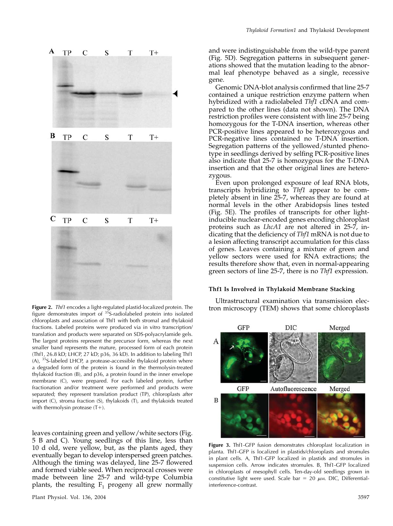A TP  $\mathcal{C}$ S T  $T+$ B TP  $\mathcal{C}$ S T  $T+$  $\mathbf C$ TP  $\overline{C}$ S T  $T+$ 

figure demonstrates import of 35S-radiolabeled protein into isolated chloroplasts and association of Thf1 with both stromal and thylakoid fractions. Labeled proteins were produced via in vitro transcription/ translation and products were separated on SDS-polyacrylamide gels. The largest proteins represent the precursor form, whereas the next smaller band represents the mature, processed form of each protein (Thf1, 26.8 kD; LHCP, 27 kD; p36, 36 kD). In addition to labeling Thf1 (A), 35S-labeled LHCP, a protease-accessible thylakoid protein where a degraded form of the protein is found in the thermolysin-treated thylakoid fraction (B), and p36, a protein found in the inner envelope membrane (C), were prepared. For each labeled protein, further fractionation and/or treatment were performed and products were separated; they represent translation product (TP), chloroplasts after import (C), stroma fraction (S), thylakoids (T), and thylakoids treated with thermolysin protease  $(T+)$ .

leaves containing green and yellow/white sectors (Fig. 5 B and C). Young seedlings of this line, less than 10 d old, were yellow, but, as the plants aged, they eventually began to develop interspersed green patches. Although the timing was delayed, line 25-7 flowered and formed viable seed. When reciprocal crosses were made between line 25-7 and wild-type Columbia plants, the resulting  $F_1$  progeny all grew normally

and were indistinguishable from the wild-type parent (Fig. 5D). Segregation patterns in subsequent generations showed that the mutation leading to the abnormal leaf phenotype behaved as a single, recessive gene.

Genomic DNA-blot analysis confirmed that line 25-7 contained a unique restriction enzyme pattern when hybridized with a radiolabeled Thf1 cDNA and compared to the other lines (data not shown). The DNA restriction profiles were consistent with line 25-7 being homozygous for the T-DNA insertion, whereas other PCR-positive lines appeared to be heterozygous and PCR-negative lines contained no T-DNA insertion. Segregation patterns of the yellowed/stunted phenotype in seedlings derived by selfing PCR-positive lines also indicate that 25-7 is homozygous for the T-DNA insertion and that the other original lines are heterozygous.

Even upon prolonged exposure of leaf RNA blots, transcripts hybridizing to Thf1 appear to be completely absent in line 25-7, whereas they are found at normal levels in the other Arabidopsis lines tested (Fig. 5E). The profiles of transcripts for other lightinducible nuclear-encoded genes encoding chloroplast proteins such as LhcA1 are not altered in 25-7, indicating that the deficiency of Thf1 mRNA is not due to a lesion affecting transcript accumulation for this class of genes. Leaves containing a mixture of green and yellow sectors were used for RNA extractions; the results therefore show that, even in normal-appearing green sectors of line 25-7, there is no Thf1 expression.

## Thf1 Is Involved in Thylakoid Membrane Stacking

Ultrastructural examination via transmission elec-Figure 2. Thi1 encodes a light-regulated plastid-localized protein. The tron microscopy (TEM) shows that some chloroplasts



Figure 3. Thf1-GFP fusion demonstrates chloroplast localization in planta. Thf1-GFP is localized in plastids/chloroplasts and stromules in plant cells. A, Thf1-GFP localized in plastids and stromules in suspension cells. Arrow indicates stromules. B, Thf1-GFP localized in chloroplasts of mesophyll cells. Ten-day-old seedlings grown in constitutive light were used. Scale bar = 20  $\mu$ M. DIC, Differentialinterference-contrast.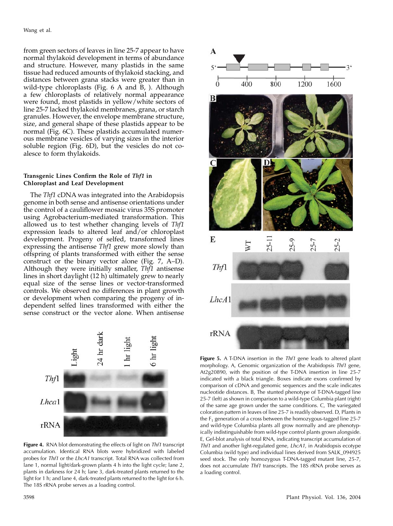from green sectors of leaves in line 25-7 appear to have normal thylakoid development in terms of abundance and structure. However, many plastids in the same tissue had reduced amounts of thylakoid stacking, and distances between grana stacks were greater than in wild-type chloroplasts (Fig. 6 A and B, ). Although a few chloroplasts of relatively normal appearance were found, most plastids in yellow/white sectors of line 25-7 lacked thylakoid membranes, grana, or starch granules. However, the envelope membrane structure, size, and general shape of these plastids appear to be normal (Fig. 6C). These plastids accumulated numerous membrane vesicles of varying sizes in the interior soluble region (Fig. 6D), but the vesicles do not coalesce to form thylakoids.

## Transgenic Lines Confirm the Role of Thf1 in Chloroplast and Leaf Development

The Thf1 cDNA was integrated into the Arabidopsis genome in both sense and antisense orientations under the control of a cauliflower mosaic virus 35S promoter using Agrobacterium-mediated transformation. This allowed us to test whether changing levels of Thf1 expression leads to altered leaf and/or chloroplast development. Progeny of selfed, transformed lines expressing the antisense *Thf1* grew more slowly than offspring of plants transformed with either the sense construct or the binary vector alone (Fig. 7, A–D). Although they were initially smaller, Thf1 antisense lines in short daylight (12 h) ultimately grew to nearly equal size of the sense lines or vector-transformed controls. We observed no differences in plant growth or development when comparing the progeny of independent selfed lines transformed with either the sense construct or the vector alone. When antisense



Figure 4. RNA blot demonstrating the effects of light on Thf1 transcript accumulation. Identical RNA blots were hybridized with labeled probes for Thf1 or the LhcA1 transcript. Total RNA was collected from lane 1, normal light/dark-grown plants 4 h into the light cycle; lane 2, plants in darkness for 24 h; lane 3, dark-treated plants returned to the light for 1 h; and lane 4, dark-treated plants returned to the light for 6 h. The 18S rRNA probe serves as a loading control.



Figure 5. A T-DNA insertion in the Thf1 gene leads to altered plant morphology. A, Genomic organization of the Arabidopsis Thf1 gene, At2g20890, with the position of the T-DNA insertion in line 25-7 indicated with a black triangle. Boxes indicate exons confirmed by comparison of cDNA and genomic sequences and the scale indicates nucleotide distances. B, The stunted phenotype of T-DNA-tagged line 25-7 (left) as shown in comparison to a wild-type Columbia plant (right) of the same age grown under the same conditions. C, The variegated coloration pattern in leaves of line 25-7 is readily observed. D, Plants in the  $F_1$  generation of a cross between the homozygous-tagged line 25-7 and wild-type Columbia plants all grow normally and are phenotypically indistinguishable from wild-type control plants grown alongside. E, Gel-blot analysis of total RNA, indicating transcript accumulation of Thf1 and another light-regulated gene, LhcA1, in Arabidopsis ecotype Columbia (wild type) and individual lines derived from SALK\_094925 seed stock. The only homozygous T-DNA-tagged mutant line, 25-7, does not accumulate Thf1 transcripts. The 18S rRNA probe serves as a loading control.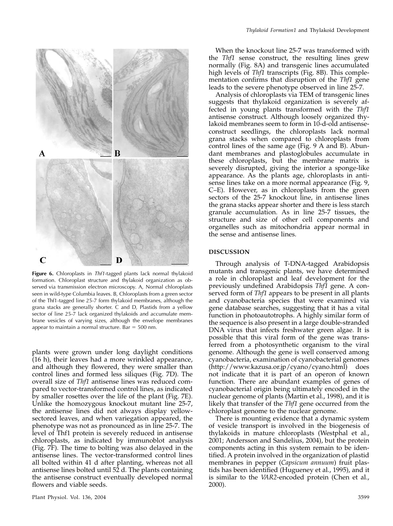

Figure 6. Chloroplasts in Thf1-tagged plants lack normal thylakoid formation. Chloroplast structure and thylakoid organization as observed via transmission electron microscopy. A, Normal chloroplasts seen in wild-type Columbia leaves. B, Chloroplasts from a green sector of the Thf1-tagged line 25-7 form thylakoid membranes, although the grana stacks are generally shorter. C and D, Plastids from a yellow sector of line 25-7 lack organized thylakoids and accumulate membrane vesicles of varying sizes, although the envelope membranes appear to maintain a normal structure. Bar  $=$  500 nm.

plants were grown under long daylight conditions (16 h), their leaves had a more wrinkled appearance, and although they flowered, they were smaller than control lines and formed less siliques (Fig. 7D). The overall size of Thf1 antisense lines was reduced compared to vector-transformed control lines, as indicated by smaller rosettes over the life of the plant (Fig. 7E). Unlike the homozygous knockout mutant line 25-7, the antisense lines did not always display yellowsectored leaves, and when variegation appeared, the phenotype was not as pronounced as in line 25-7. The level of Thf1 protein is severely reduced in antisense chloroplasts, as indicated by immunoblot analysis (Fig. 7F). The time to bolting was also delayed in the antisense lines. The vector-transformed control lines all bolted within 41 d after planting, whereas not all antisense lines bolted until 52 d. The plants containing the antisense construct eventually developed normal flowers and viable seeds.

When the knockout line 25-7 was transformed with the Thf1 sense construct, the resulting lines grew normally (Fig. 8A) and transgenic lines accumulated high levels of Thf1 transcripts (Fig. 8B). This complementation confirms that disruption of the Thf1 gene leads to the severe phenotype observed in line 25-7.

Analysis of chloroplasts via TEM of transgenic lines suggests that thylakoid organization is severely affected in young plants transformed with the Thf1 antisense construct. Although loosely organized thylakoid membranes seem to form in 10-d-old antisenseconstruct seedlings, the chloroplasts lack normal grana stacks when compared to chloroplasts from control lines of the same age (Fig. 9 A and B). Abundant membranes and plastoglobules accumulate in these chloroplasts, but the membrane matrix is severely disrupted, giving the interior a sponge-like appearance. As the plants age, chloroplasts in antisense lines take on a more normal appearance (Fig. 9, C–E). However, as in chloroplasts from the green sectors of the 25-7 knockout line, in antisense lines the grana stacks appear shorter and there is less starch granule accumulation. As in line 25-7 tissues, the structure and size of other cell components and organelles such as mitochondria appear normal in the sense and antisense lines.

## DISCUSSION

Through analysis of T-DNA-tagged Arabidopsis mutants and transgenic plants, we have determined a role in chloroplast and leaf development for the previously undefined Arabidopsis Thf1 gene. A conserved form of Thf1 appears to be present in all plants and cyanobacteria species that were examined via gene database searches, suggesting that it has a vital function in photoautotrophs. A highly similar form of the sequence is also present in a large double-stranded DNA virus that infects freshwater green algae. It is possible that this viral form of the gene was transferred from a photosynthetic organism to the viral genome. Although the gene is well conserved among cyanobacteria, examination of cyanobacterial genomes (http://www.kazusa.or.jp/cyano/cyano.html) does not indicate that it is part of an operon of known function. There are abundant examples of genes of cyanobacterial origin being ultimately encoded in the nuclear genome of plants (Martin et al., 1998), and it is likely that transfer of the Thf1 gene occurred from the chloroplast genome to the nuclear genome.

There is mounting evidence that a dynamic system of vesicle transport is involved in the biogenesis of thylakoids in mature chloroplasts (Westphal et al., 2001; Andersson and Sandelius, 2004), but the protein components acting in this system remain to be identified. A protein involved in the organization of plastid membranes in pepper (Capsicum annuum) fruit plastids has been identified (Hugueney et al., 1995), and it is similar to the VAR2-encoded protein (Chen et al., 2000).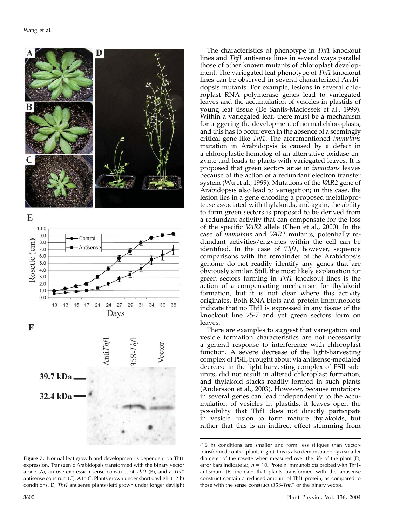

Figure 7. Normal leaf growth and development is dependent on Thf1 expression. Transgenic Arabidopsis transformed with the binary vector alone (A), an overexpression sense construct of Thf1 (B), and a Thf1 antisense construct (C). A to C, Plants grown under short daylight (12 h) conditions. D, Thf1 antisense plants (left) grown under longer daylight

The characteristics of phenotype in Thf1 knockout lines and Thf1 antisense lines in several ways parallel those of other known mutants of chloroplast development. The variegated leaf phenotype of Thf1 knockout lines can be observed in several characterized Arabidopsis mutants. For example, lesions in several chloroplast RNA polymerase genes lead to variegated leaves and the accumulation of vesicles in plastids of young leaf tissue (De Santis-Maciossek et al., 1999). Within a variegated leaf, there must be a mechanism for triggering the development of normal chloroplasts, and this has to occur even in the absence of a seemingly critical gene like Thf1. The aforementioned immutans mutation in Arabidopsis is caused by a defect in a chloroplastic homolog of an alternative oxidase enzyme and leads to plants with variegated leaves. It is proposed that green sectors arise in *immutans* leaves because of the action of a redundant electron transfer system (Wu et al., 1999). Mutations of the VAR2 gene of Arabidopsis also lead to variegation; in this case, the lesion lies in a gene encoding a proposed metalloprotease associated with thylakoids, and again, the ability to form green sectors is proposed to be derived from a redundant activity that can compensate for the loss of the specific VAR2 allele (Chen et al., 2000). In the case of immutans and VAR2 mutants, potentially redundant activities/enzymes within the cell can be identified. In the case of Thf1, however, sequence comparisons with the remainder of the Arabidopsis genome do not readily identify any genes that are obviously similar. Still, the most likely explanation for green sectors forming in Thf1 knockout lines is the action of a compensating mechanism for thylakoid formation, but it is not clear where this activity originates. Both RNA blots and protein immunoblots indicate that no Thf1 is expressed in any tissue of the knockout line 25-7 and yet green sectors form on leaves.

There are examples to suggest that variegation and vesicle formation characteristics are not necessarily a general response to interference with chloroplast function. A severe decrease of the light-harvesting complex of PSII, brought about via antisense-mediated decrease in the light-harvesting complex of PSII subunits, did not result in altered chloroplast formation, and thylakoid stacks readily formed in such plants (Andersson et al., 2003). However, because mutations in several genes can lead independently to the accumulation of vesicles in plastids, it leaves open the possibility that Thf1 does not directly participate in vesicle fusion to form mature thylakoids, but rather that this is an indirect effect stemming from

<sup>(16</sup> h) conditions are smaller and form less siliques than vectortransformed control plants (right); this is also demonstrated by a smaller diameter of the rosette when measured over the life of the plant (E); error bars indicate sp,  $n = 10$ . Protein immunoblots probed with Thf1antiserum (F) indicate that plants transformed with the antisense construct contain a reduced amount of Thf1 protein, as compared to those with the sense construct (35S-Thf1) or the binary vector.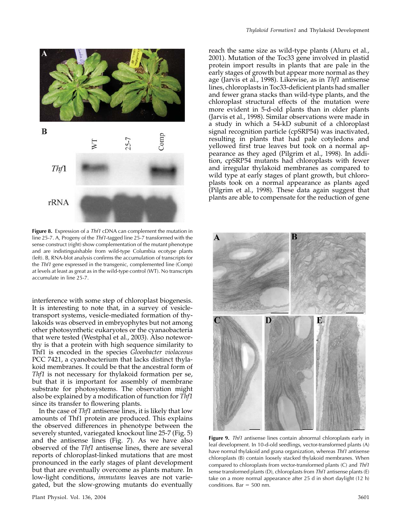

Figure 8. Expression of a Thf1 cDNA can complement the mutation in line 25-7. A, Progeny of the Thf1-tagged line 25-7 transformed with the sense construct (right) show complementation of the mutant phenotype and are indistinguishable from wild-type Columbia ecotype plants (left). B, RNA-blot analysis confirms the accumulation of transcripts for the Thf1 gene expressed in the transgenic, complemented line (Comp) at levels at least as great as in the wild-type control (WT). No transcripts accumulate in line 25-7.

interference with some step of chloroplast biogenesis. It is interesting to note that, in a survey of vesicletransport systems, vesicle-mediated formation of thylakoids was observed in embryophytes but not among other photosynthetic eukaryotes or the cyanaobacteria that were tested (Westphal et al., 2003). Also noteworthy is that a protein with high sequence similarity to Thf1 is encoded in the species Gloeobacter violaceous PCC 7421, a cyanobacterium that lacks distinct thylakoid membranes. It could be that the ancestral form of Thf1 is not necessary for thylakoid formation per se, but that it is important for assembly of membrane substrate for photosystems. The observation might also be explained by a modification of function for Thf1 since its transfer to flowering plants.

In the case of Thf1 antisense lines, it is likely that low amounts of Thf1 protein are produced. This explains the observed differences in phenotype between the severely stunted, variegated knockout line 25-7 (Fig. 5) and the antisense lines (Fig. 7). As we have also observed of the Thf1 antisense lines, there are several reports of chloroplast-linked mutations that are most pronounced in the early stages of plant development but that are eventually overcome as plants mature. In low-light conditions, immutans leaves are not variegated, but the slow-growing mutants do eventually

reach the same size as wild-type plants (Aluru et al., 2001). Mutation of the Toc33 gene involved in plastid protein import results in plants that are pale in the early stages of growth but appear more normal as they age (Jarvis et al., 1998). Likewise, as in Thf1 antisense lines, chloroplasts in Toc33-deficient plants had smaller and fewer grana stacks than wild-type plants, and the chloroplast structural effects of the mutation were more evident in 5-d-old plants than in older plants (Jarvis et al., 1998). Similar observations were made in a study in which a 54-kD subunit of a chloroplast signal recognition particle (cpSRP54) was inactivated, resulting in plants that had pale cotyledons and yellowed first true leaves but took on a normal appearance as they aged (Pilgrim et al., 1998). In addition, cpSRP54 mutants had chloroplasts with fewer and irregular thylakoid membranes as compared to wild type at early stages of plant growth, but chloroplasts took on a normal appearance as plants aged (Pilgrim et al., 1998). These data again suggest that plants are able to compensate for the reduction of gene



Figure 9. Thf1 antisense lines contain abnormal chloroplasts early in leaf development. In 10-d-old seedlings, vector-transformed plants (A) have normal thylakoid and grana organization, whereas Thf1 antisense chloroplasts (B) contain loosely stacked thylakoid membranes. When compared to chloroplasts from vector-transformed plants (C) and Thf1 sense transformed plants (D), chloroplasts from Thf1 antisense plants (E) take on a more normal appearance after 25 d in short daylight (12 h) conditions. Bar  $=$  500 nm.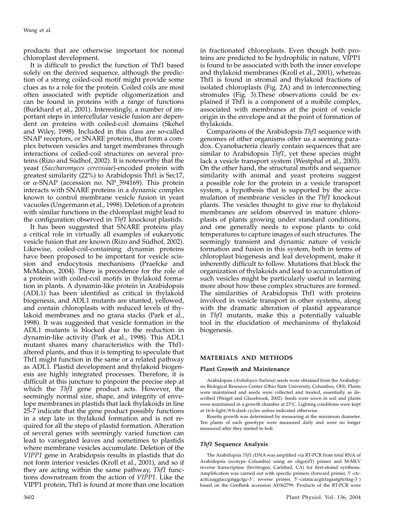products that are otherwise important for normal chloroplast development.

It is difficult to predict the function of Thf1 based solely on the derived sequence, although the prediction of a strong coiled-coil motif might provide some clues as to a role for the protein. Coiled coils are most often associated with peptide oligomerization and can be found in proteins with a range of functions (Burkhard et al., 2001). Interestingly, a number of important steps in intercellular vesicle fusion are dependent on proteins with coiled-coil domains (Skehel and Wiley, 1998). Included in this class are so-called SNAP receptors, or SNARE proteins, that form a complex between vesicles and target membranes through interactions of coiled-coil structures on several proteins (Rizo and Südhof, 2002). It is noteworthy that the yeast (Saccharomyces cerevisiae)-encoded protein with greatest similarity (22%) to Arabidopsis Thf1 is Sec17, or  $\alpha$ -SNAP (accession no. NP\_594169). This protein interacts with SNARE proteins in a dynamic complex known to control membrane vesicle fusion in yeast vacuoles (Ungermann et al., 1998). Deletion of a protein with similar functions in the chloroplast might lead to the configuration observed in Thf1 knockout plastids.

It has been suggested that SNARE proteins play a critical role in virtually all examples of eukaryotic vesicle fusion that are known (Rizo and Südhof, 2002). Likewise, coiled-coil-containing dynamin proteins have been proposed to be important for vesicle scission and endocytosis mechanisms (Praefcke and McMahon, 2004). There is precedence for the role of a protein with coiled-coil motifs in thylakoid formation in plants. A dynamin-like protein in Arabidopsis (ADL1) has been identified as critical in thylakoid biogenesis, and ADL1 mutants are stunted, yellowed, and contain chloroplasts with reduced levels of thylakoid membranes and no grana stacks (Park et al., 1998). It was suggested that vesicle formation in the ADL1 mutants is blocked due to the reduction in dynamin-like activity (Park et al., 1998). This ADL1 mutant shares many characteristics with the Thf1 altered plants, and thus it is tempting to speculate that Thf1 might function in the same or a related pathway as ADL1. Plastid development and thylakoid biogenesis are highly integrated processes. Therefore, it is difficult at this juncture to pinpoint the precise step at which the Thf1 gene product acts. However, the seemingly normal size, shape, and integrity of envelope membranes in plastids that lack thylakoids in line 25-7 indicate that the gene product possibly functions in a step late in thylakoid formation and is not required for all the steps of plastid formation. Alteration of several genes with seemingly varied function can lead to variegated leaves and sometimes to plastids where membrane vesicles accumulate. Deletion of the VIPP1 gene in Arabidopsis results in plastids that do not form interior vesicles (Kroll et al., 2001), and so if they are acting within the same pathway, Thf1 functions downstream from the action of VIPP1. Like the VIPP1 protein, Thf1 is found at more than one location

in fractionated chloroplasts. Even though both proteins are predicted to be hydrophilic in nature, VIPP1 is found to be associated with both the inner envelope and thylakoid membranes (Kroll et al., 2001), whereas Thf1 is found in stromal and thylakoid fractions of isolated chloroplasts (Fig. 2A) and in interconnecting stromules (Fig. 3).These observations could be explained if Thf1 is a component of a mobile complex, associated with membranes at the point of vesicle origin in the envelope and at the point of formation of thylakoids.

Comparisons of the Arabidopsis Thf1 sequence with genomes of other organisms offer us a seeming paradox. Cyanobacteria clearly contain sequences that are similar to Arabidopsis Thf1, yet these species might lack a vesicle transport system (Westphal et al., 2003). On the other hand, the structural motifs and sequence similarity with animal and yeast proteins suggest a possible role for the protein in a vesicle transport system, a hypothesis that is supported by the accumulation of membrane vesicles in the Thf1 knockout plants. The vesicles thought to give rise to thylakoid membranes are seldom observed in mature chloroplasts of plants growing under standard conditions, and one generally needs to expose plants to cold temperatures to capture images of such structures. The seemingly transient and dynamic nature of vesicle formation and fusion in this system, both in terms of chloroplast biogenesis and leaf development, make it inherently difficult to follow. Mutations that block the organization of thylakoids and lead to accumulation of such vesicles might be particularly useful in learning more about how these complex structures are formed. The similarities of Arabidopsis Thf1 with proteins involved in vesicle transport in other systems, along with the dramatic alteration of plastid appearance in Thf1 mutants, make this a potentially valuable tool in the elucidation of mechanisms of thylakoid biogenesis.

## MATERIALS AND METHODS

#### Plant Growth and Maintenance

Arabidopsis (Arabidopsis thaliana) seeds were obtained from the Arabidopsis Biological Resource Center (Ohio State University, Columbus, OH). Plants were maintained and seeds were collected and treated, essentially as described (Weigel and Glazebrook, 2002). Seeds were sown in soil and plants were maintained in a growth chamber at 23°C. Lighting conditions were kept at 16-h-light/8-h-dark cycles unless indicated otherwise.

Rosette growth was determined by measuring at the maximum diameter. Ten plants of each genotype were measured daily and were no longer measured after they started to bolt.

### Thf1 Sequence Analysis

The Arabidopsis Thf1 cDNA was amplified via RT-PCR from total RNA of Arabidopsis (ecotype Columbia) using an oligo(dT) primer and M-MLV reverse transcriptase (Invitrogen, Carlsbad, CA) for first-strand synthesis. Amplification was carried out with specific primers (forward primer, 5'-ctcacttcaaggtaccgatggctgc-3'; reverse primer, 5'-catatacacgtctagaatgttcttag-3') based on the GenBank accession AY062799. Products of the RT-PCR were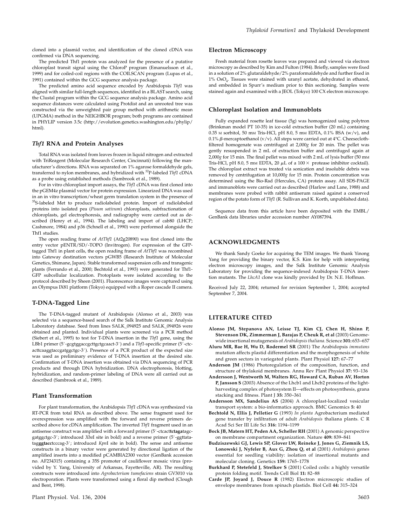cloned into a plasmid vector, and identification of the cloned cDNA was confirmed via DNA sequencing.

The predicted Thf1 protein was analyzed for the presence of a putative chloroplast transit signal using the ChloroP program (Emanuelsson et al., 1999) and for coiled-coil regions with the COILSCAN program (Lupas et al., 1991) contained within the GCG sequence analysis package.

The predicted amino acid sequence encoded by Arabidopsis Thf1 was aligned with similar full-length sequences, identified in a BLAST search, using the Clustal program within the GCG sequence analysis package. Amino acid sequence distances were calculated using Protdist and an unrooted tree was constructed via the unweighted pair group method with arithmetic mean (UPGMA) method in the NEIGHBOR program; both programs are contained in PHYLIP version 3.5c (http://evolution.genetics.washington.edu/phylip/ html).

#### Thf1 RNA and Protein Analyses

Total RNA was isolated from leaves frozen in liquid nitrogen and extracted with TriReagent (Molecular Research Center, Cincinnati) following the manufacturer's directions. RNA was separated on 1% agarose formaldehyde gels, transferred to nylon membranes, and hybridized with <sup>32</sup>P-labeled Thf1 cDNA as a probe using established methods (Sambrook et al., 1989).

For in vitro chloroplast import assays, the Thf1 cDNA was first cloned into the pGEM4z plasmid vector for protein expression. Linearized DNA was used in an in vitro transcription/wheat germ translation system in the presence of <sup>35</sup>S-labeled Met to produce radiolabeled protein. Import of radiolabeled proteins into isolated pea (Pisum sativum) chloroplasts, subfractionation of chloroplasts, gel electrophoresis, and radiography were carried out as described (Henry et al., 1994). The labeling and import of cab80 (LHCP; Cashmore, 1984) and p36 (Schnell et al., 1990) were performed alongside the Thf1 studies.

The open reading frame of AtThf1 (At2g20890) was first cloned into the entry vector pENTR/SD/-TOPO (Invitrogen). For expression of the GFPtagged Thf1 in plant cells, the open reading frame of AtThf1 was recombined into Gateway destination vectors pGWB5 (Research Institute of Molecular Genetics, Shimane, Japan). Stable transformed suspension cells and transgenic plants (Ferrando et al., 2000; Bechtold et al., 1993) were generated for Thf1- GFP subcellular localization. Protoplasts were isolated according to the protocol described by Sheen (2001). Fluorescence images were captured using an Olympus IX81 platform (Tokyo) equipped with a Roper cascade II camera.

#### T-DNA-Tagged Line

The T-DNA-tagged mutant of Arabidopsis (Alonso et al., 2003) was selected via a sequence-based search of the Salk Institute Genomic Analysis Laboratory database. Seed from lines SALK\_094925 and SALK\_094926 were obtained and planted. Individual plants were screened via a PCR method (Siebert et al., 1995) to test for T-DNA insertion in the Thf1 gene, using the LBb1 primer (5'-gcgtggaccgcttgctgcaact-3') and a Thf1-specific primer (5'-ctcacttcaaggtaccgatggctgc-3'). Presence of a PCR product of the expected size was used as preliminary evidence of T-DNA insertion at the desired site. Confirmation of T-DNA insertion was obtained via DNA sequencing of PCR products and through DNA hybridization. DNA electrophoresis, blotting, hybridization, and random-primer labeling of DNA were all carried out as described (Sambrook et al., 1989).

#### Plant Transformation

For plant transformation, the Arabidopsis Thf1 cDNA was synthesized via RT-PCR from total RNA as described above. The sense fragment used for overexpression was amplified with the forward and reverse primers described above for cDNA amplification. The inverted Thf1 fragment used in an antisense construct was amplified with a forward primer (5'-ctcacttctagatagcgatggctgc-3'; introduced XbaI site in bold) and a reverse primer (5'-ggttatatagggtacctcccag-3'; introduced KpnI site in bold). The sense and antisense constructs in a binary vector were generated by directional ligation of the amplified inserts into a modified pCAMBIA2300 vector (GenBank accession no. AF234315) containing a 35S promoter of cauliflower mosaic virus (provided by Y. Yang, University of Arkansas, Fayetteville, AR). The resulting constructs were introduced into Agrobacterium tumefaciens strain GV3010 via electroporation. Plants were transformed using a floral dip method (Clough and Bent, 1998).

#### Electron Microscopy

Fresh material from rosette leaves was prepared and viewed via electron microscopy as described by Kim and Fulton (1984). Briefly, samples were fixed in a solution of 2% glutaraldehyde/2% paraformaldehyde and further fixed in 1% OsO4. Tissues were stained with uranyl acetate, dehydrated in ethanol, and embedded in Spurr's medium prior to thin sectioning. Samples were stained again and examined with a JEOL (Tokyo) 100 CX electron microscope.

#### Chloroplast Isolation and Immunoblots

Fully expanded rosette leaf tissue (5g) was homogenized using polytron (Brinkman model PT 10-35) in ice-cold extraction buffer (20 mL) containing 0.35 M sorbitol, 50 mM Tris-HCl, pH 8.0, 5 mM EDTA, 0.1% BSA (w/v), and 0.1%  $\beta$ -mercaptoethanol (v/v). All steps were carried out at 4°C. Cheeseclothfiltered homogenate was centrifuged at 2,000g for 20 min. The pellet was gently resuspended in 2 mL of extraction buffer and centrifuged again at 2,000g for 15 min. The final pellet was mixed with 2 mL of lysis buffer (50 mM Tris-HCl, pH 8.0, 5 mm EDTA, 20  $\mu$ L of a 100  $\times$  protease inhibitor cocktail). The chloroplast extract was treated via sonication and insoluble debris was removed by centrifugation at 10,000g for 15 min. Protein concentration was determined using the Bio-Rad (Hercules, CA) protein assay. All SDS-PAGE and immunoblots were carried out as described (Harlow and Lane, 1988) and membranes were probed with rabbit antiserum raised against a conserved region of the potato form of Thf1 (R. Sullivan and K. Korth, unpublished data).

Sequence data from this article have been deposited with the EMBL/ GenBank data libraries under accession number AY087394.

## ACKNOWLEDGMENTS

We thank Sandy Goeke for acquiring the TEM images. We thank Yinong Yang for providing the binary vector, K.S. Kim for help with interpreting electron microscopy images, and the Salk Institute Genomic Analysis Laboratory for providing the sequence-indexed Arabidopsis T-DNA insertion mutants. The LhcA1 clone was kindly provided by Dr. N.E. Hoffman.

Received July 22, 2004; returned for revision September 1, 2004; accepted September 7, 2004.

## LITERATURE CITED

- Alonso JM, Stepanova AN, Leisse TJ, Kim CJ, Chen H, Shinn P, Stevenson DK, Zimmerman J, Barajas P, Cheuk R, et al (2003) Genomewide insertional mutagenesis of Arabidopsis thaliana. Science 301: 653–657
- Aluru MR, Bae H, Wu D, Rodermel SR (2001) The Arabidopsis immutans mutation affects plastid differentiation and the morphogenesis of white and green sectors in variegated plants. Plant Physiol 127: 67–77
- Anderson JM (1986) Photoregulation of the composition, function, and structure of thylakoid membranes. Annu Rev Plant Physiol 37: 93–136
- Andersson J, Wentworth M, Walters RG, Howard CA, Ruban AV, Horton P, Jansson S (2003) Absence of the Lhcb1 and Lhcb2 proteins of the lightharvesting complex of photosystem II—effects on photosynthesis, grana stacking and fitness. Plant I 35: 350-361
- Andersson MX, Sandelius AS (2004) A chloroplast-localized vesicular transport system: a bio-informatics approach. BMC Genomics 5: 40
- Bechtold N, Ellis J, Pelletier G (1993) In planta Agrobacterium mediated gene transfer by infiltration of adult Arabidopsis thaliana plants. C R Acad Sci Ser III Life Sci 316: 1194–1199
- Bock JB, Matern HT, Peden AA, Scheller RH (2001) A genomic perspective on membrane compartment organization. Nature 409: 839–841
- Budziszewski GJ, Lewis SP, Glover LW, Reineke J, Jones G, Ziemnik LS, Lonowski J, Nyfeler B, Aux G, Zhou Q, et al (2001) Arabidopsis genes essential for seedling viability: isolation of insertional mutants and molecular cloning. Genetics 159: 1765–1778
- Burkhard P, Stetefeld J, Strelkov S (2001) Coiled coils: a highly versatile protein folding motif. Trends Cell Biol 11: 82–88
- Carde JP, Joyard J, Douce R (1982) Electron microscopic studies of envelope membranes from spinach plastids. Biol Cell 44: 315–324